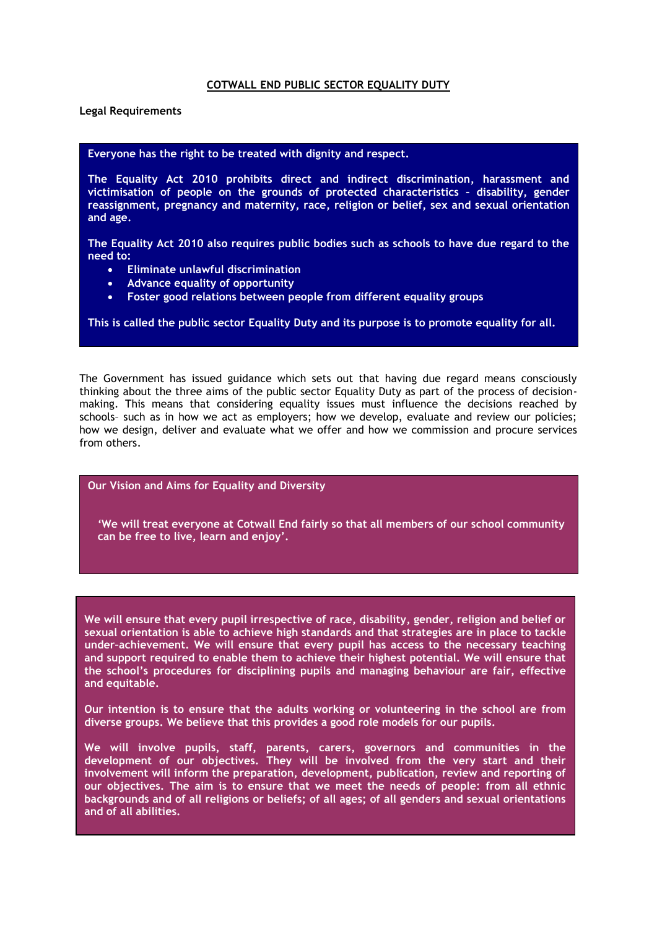**Legal Requirements**

## **Everyone has the right to be treated with dignity and respect.**

**The Equality Act 2010 prohibits direct and indirect discrimination, harassment and victimisation of people on the grounds of protected characteristics – disability, gender reassignment, pregnancy and maternity, race, religion or belief, sex and sexual orientation and age.**

**The Equality Act 2010 also requires public bodies such as schools to have due regard to the need to:**

- **Eliminate unlawful discrimination**
- **Advance equality of opportunity**
- **Foster good relations between people from different equality groups**

**This is called the public sector Equality Duty and its purpose is to promote equality for all.** 

The Government has issued guidance which sets out that having due regard means consciously thinking about the three aims of the public sector Equality Duty as part of the process of decisionmaking. This means that considering equality issues must influence the decisions reached by schools– such as in how we act as employers; how we develop, evaluate and review our policies; how we design, deliver and evaluate what we offer and how we commission and procure services from others.

## **Our Vision and Aims for Equality and Diversity**

**'We will treat everyone at Cotwall End fairly so that all members of our school community can be free to live, learn and enjoy'.**

**We will ensure that every pupil irrespective of race, disability, gender, religion and belief or sexual orientation is able to achieve high standards and that strategies are in place to tackle under–achievement. We will ensure that every pupil has access to the necessary teaching and support required to enable them to achieve their highest potential. We will ensure that the school's procedures for disciplining pupils and managing behaviour are fair, effective and equitable.** 

**Our intention is to ensure that the adults working or volunteering in the school are from diverse groups. We believe that this provides a good role models for our pupils.**

**We will involve pupils, staff, parents, carers, governors and communities in the development of our objectives. They will be involved from the very start and their involvement will inform the preparation, development, publication, review and reporting of our objectives. The aim is to ensure that we meet the needs of people: from all ethnic backgrounds and of all religions or beliefs; of all ages; of all genders and sexual orientations and of all abilities.**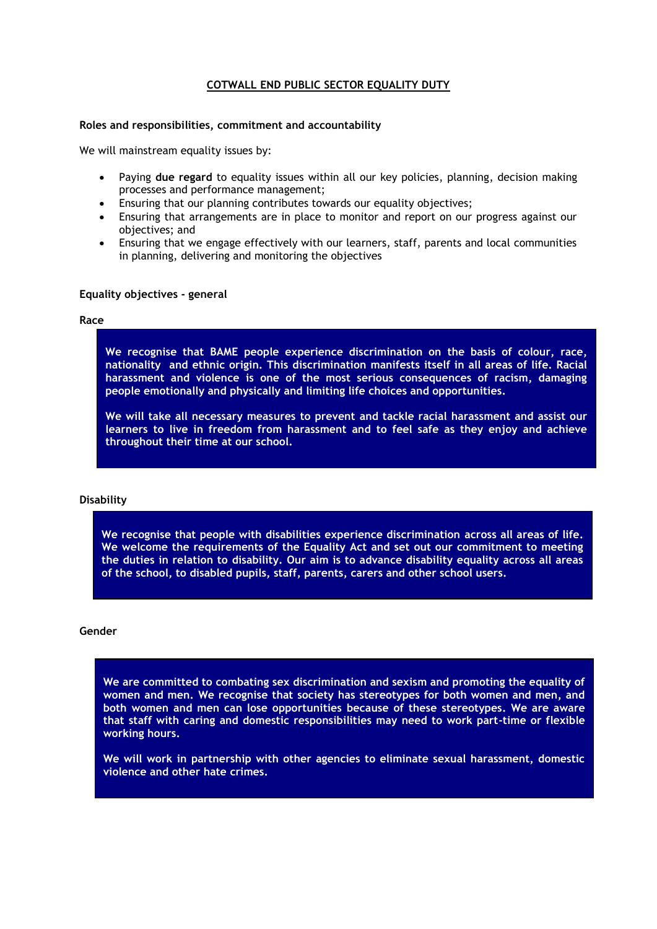#### **Roles and responsibilities, commitment and accountability**

We will mainstream equality issues by:

- Paying **due regard** to equality issues within all our key policies, planning, decision making processes and performance management;
- Ensuring that our planning contributes towards our equality objectives;
- Ensuring that arrangements are in place to monitor and report on our progress against our objectives; and
- Ensuring that we engage effectively with our learners, staff, parents and local communities in planning, delivering and monitoring the objectives

#### **Equality objectives - general**

#### **Race**

**We recognise that BAME people experience discrimination on the basis of colour, race, nationality and ethnic origin. This discrimination manifests itself in all areas of life. Racial harassment and violence is one of the most serious consequences of racism, damaging people emotionally and physically and limiting life choices and opportunities.** 

**We will take all necessary measures to prevent and tackle racial harassment and assist our learners to live in freedom from harassment and to feel safe as they enjoy and achieve throughout their time at our school.** 

#### **Disability**

**We recognise that people with disabilities experience discrimination across all areas of life. We welcome the requirements of the Equality Act and set out our commitment to meeting the duties in relation to disability. Our aim is to advance disability equality across all areas of the school, to disabled pupils, staff, parents, carers and other school users.**

#### **Gender**

**We are committed to combating sex discrimination and sexism and promoting the equality of women and men. We recognise that society has stereotypes for both women and men, and both women and men can lose opportunities because of these stereotypes. We are aware that staff with caring and domestic responsibilities may need to work part-time or flexible working hours.**

**We will work in partnership with other agencies to eliminate sexual harassment, domestic violence and other hate crimes.**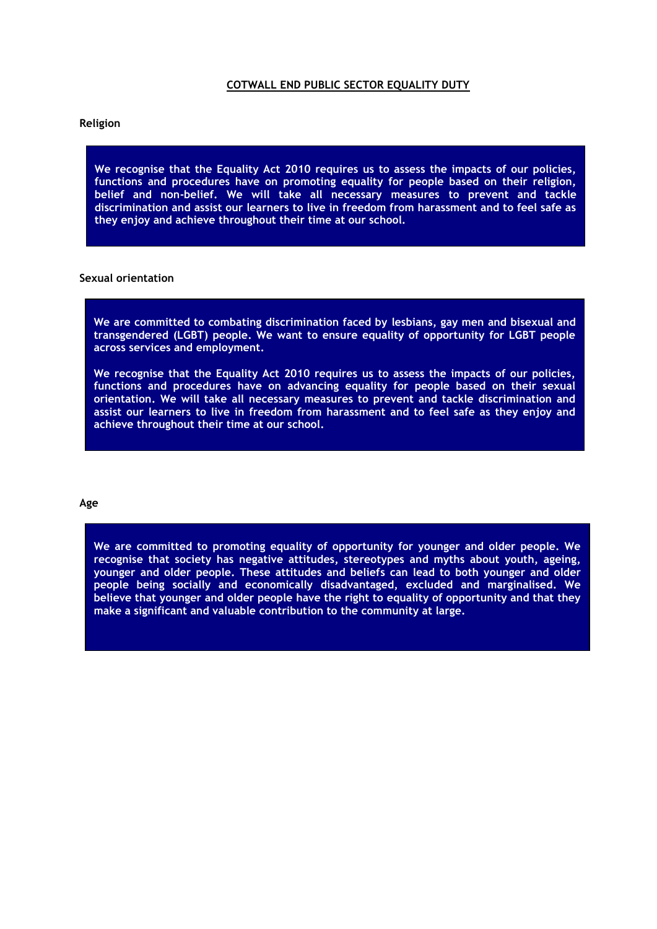#### **Religion**

**We recognise that the Equality Act 2010 requires us to assess the impacts of our policies, functions and procedures have on promoting equality for people based on their religion, belief and non-belief. We will take all necessary measures to prevent and tackle discrimination and assist our learners to live in freedom from harassment and to feel safe as they enjoy and achieve throughout their time at our school.** 

#### **Sexual orientation**

**We are committed to combating discrimination faced by lesbians, gay men and bisexual and transgendered (LGBT) people. We want to ensure equality of opportunity for LGBT people across services and employment.**

**We recognise that the Equality Act 2010 requires us to assess the impacts of our policies, functions and procedures have on advancing equality for people based on their sexual orientation. We will take all necessary measures to prevent and tackle discrimination and assist our learners to live in freedom from harassment and to feel safe as they enjoy and achieve throughout their time at our school.** 

#### **Age**

**We are committed to promoting equality of opportunity for younger and older people. We recognise that society has negative attitudes, stereotypes and myths about youth, ageing, younger and older people. These attitudes and beliefs can lead to both younger and older people being socially and economically disadvantaged, excluded and marginalised. We believe that younger and older people have the right to equality of opportunity and that they make a significant and valuable contribution to the community at large.**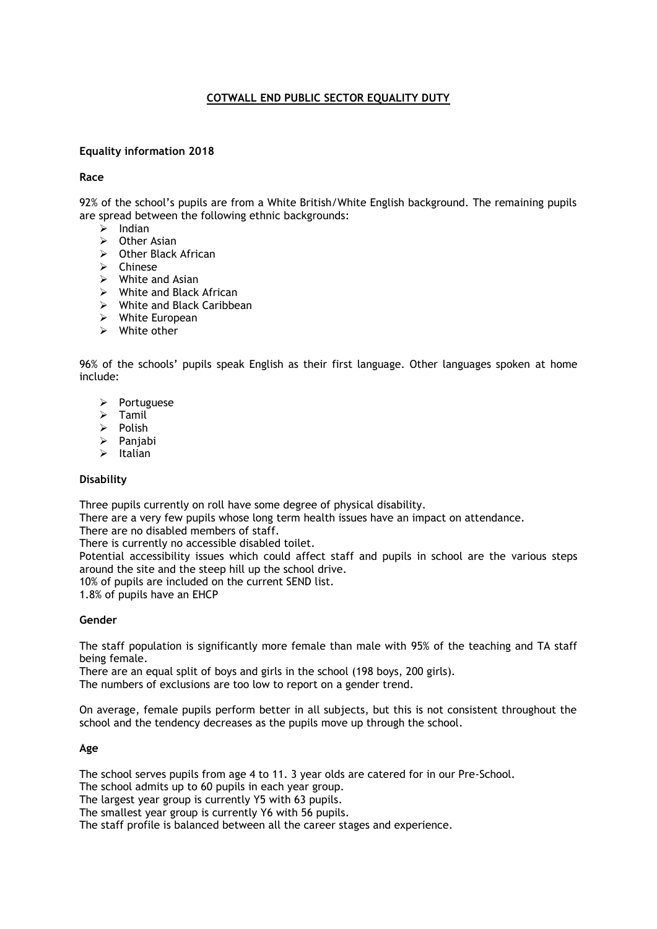## **Equality information 2018**

## **Race**

92% of the school's pupils are from a White British/White English background. The remaining pupils are spread between the following ethnic backgrounds:

- $\triangleright$  Indian
- $\triangleright$  Other Asian
- Other Black African
- $\triangleright$  Chinese
- $\triangleright$  White and Asian
- $\triangleright$  White and Black African
- White and Black Caribbean
- White European
- $\triangleright$  White other

96% of the schools' pupils speak English as their first language. Other languages spoken at home include:

- $\triangleright$  Portuguese
- $\triangleright$  Tamil
- $\triangleright$  Polish
- $\triangleright$  Panjabi
- $\triangleright$  Italian

## **Disability**

Three pupils currently on roll have some degree of physical disability.

There are a very few pupils whose long term health issues have an impact on attendance.

There are no disabled members of staff.

There is currently no accessible disabled toilet.

Potential accessibility issues which could affect staff and pupils in school are the various steps around the site and the steep hill up the school drive.

10% of pupils are included on the current SEND list.

1.8% of pupils have an EHCP

## **Gender**

The staff population is significantly more female than male with 95% of the teaching and TA staff being female.

There are an equal split of boys and girls in the school (198 boys, 200 girls).

The numbers of exclusions are too low to report on a gender trend.

On average, female pupils perform better in all subjects, but this is not consistent throughout the school and the tendency decreases as the pupils move up through the school*.*

## **Age**

The school serves pupils from age 4 to 11. 3 year olds are catered for in our Pre-School.

The school admits up to 60 pupils in each year group.

The largest year group is currently Y5 with 63 pupils.

The smallest year group is currently Y6 with 56 pupils.

The staff profile is balanced between all the career stages and experience.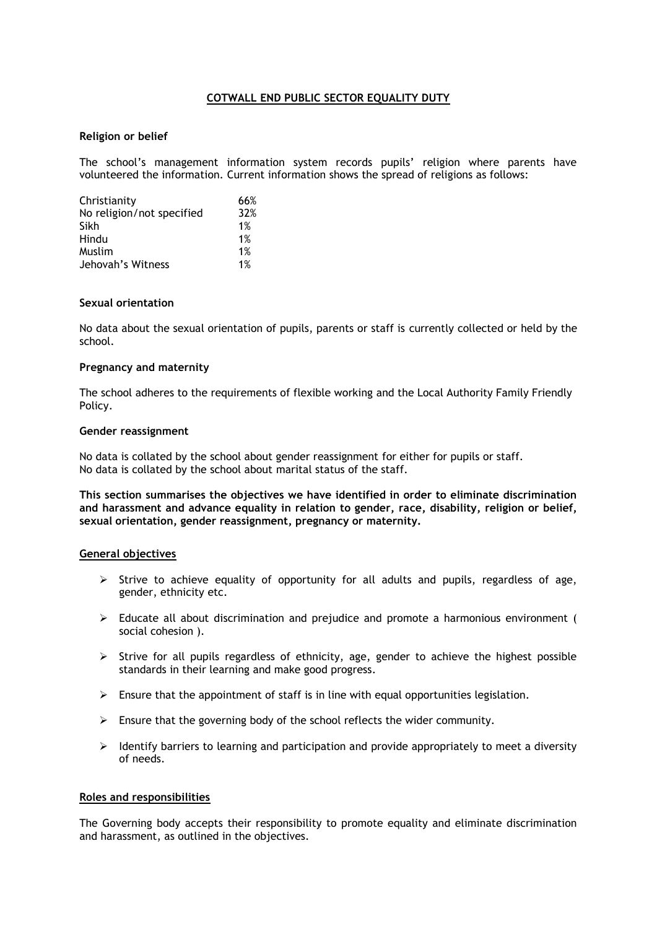## **Religion or belief**

The school's management information system records pupils' religion where parents have volunteered the information. Current information shows the spread of religions as follows:

| Christianity              | 66% |
|---------------------------|-----|
| No religion/not specified | 32% |
| Sikh                      | 1%  |
| Hindu                     | 1%  |
| Muslim                    | 1%  |
| Jehovah's Witness         | 1%  |

#### **Sexual orientation**

No data about the sexual orientation of pupils, parents or staff is currently collected or held by the school.

### **Pregnancy and maternity**

The school adheres to the requirements of flexible working and the Local Authority Family Friendly Policy.

#### **Gender reassignment**

No data is collated by the school about gender reassignment for either for pupils or staff. No data is collated by the school about marital status of the staff.

**This section summarises the objectives we have identified in order to eliminate discrimination and harassment and advance equality in relation to gender, race, disability, religion or belief, sexual orientation, gender reassignment, pregnancy or maternity.**

## **General objectives**

- $\triangleright$  Strive to achieve equality of opportunity for all adults and pupils, regardless of age, gender, ethnicity etc.
- $\triangleright$  Educate all about discrimination and prejudice and promote a harmonious environment ( social cohesion ).
- $\triangleright$  Strive for all pupils regardless of ethnicity, age, gender to achieve the highest possible standards in their learning and make good progress.
- $\triangleright$  Ensure that the appointment of staff is in line with equal opportunities legislation.
- $\triangleright$  Ensure that the governing body of the school reflects the wider community.
- $\triangleright$  Identify barriers to learning and participation and provide appropriately to meet a diversity of needs.

## **Roles and responsibilities**

The Governing body accepts their responsibility to promote equality and eliminate discrimination and harassment, as outlined in the objectives.